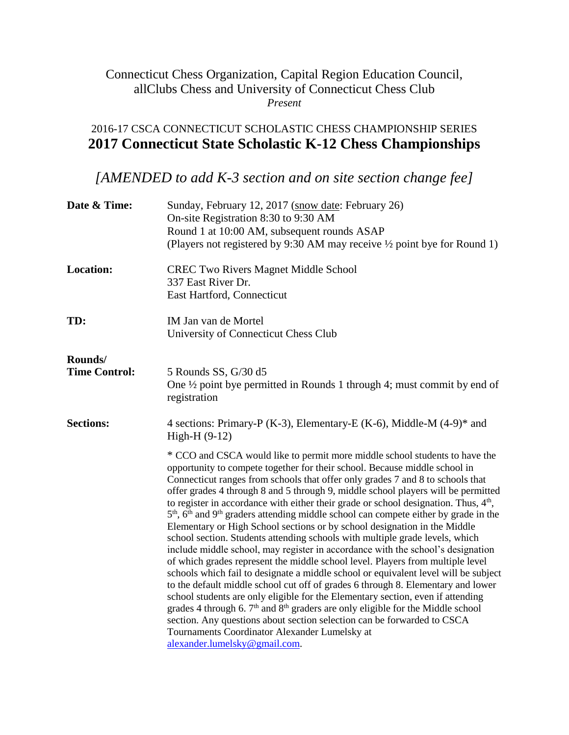## Connecticut Chess Organization, Capital Region Education Council, allClubs Chess and University of Connecticut Chess Club *Present*

## 2016-17 CSCA CONNECTICUT SCHOLASTIC CHESS CHAMPIONSHIP SERIES **2017 Connecticut State Scholastic K-12 Chess Championships**

*[AMENDED to add K-3 section and on site section change fee]*

| Date & Time:                    | Sunday, February 12, 2017 (snow date: February 26)<br>On-site Registration 8:30 to 9:30 AM<br>Round 1 at 10:00 AM, subsequent rounds ASAP<br>(Players not registered by 9:30 AM may receive 1/2 point bye for Round 1)                                                                                                                                                                                                                                                                                                                                                                                                                                                                                                                                                                                                                                                                                                                                                                                                                                                                                                                                                                                                                                                                                                                                                                           |
|---------------------------------|--------------------------------------------------------------------------------------------------------------------------------------------------------------------------------------------------------------------------------------------------------------------------------------------------------------------------------------------------------------------------------------------------------------------------------------------------------------------------------------------------------------------------------------------------------------------------------------------------------------------------------------------------------------------------------------------------------------------------------------------------------------------------------------------------------------------------------------------------------------------------------------------------------------------------------------------------------------------------------------------------------------------------------------------------------------------------------------------------------------------------------------------------------------------------------------------------------------------------------------------------------------------------------------------------------------------------------------------------------------------------------------------------|
| <b>Location:</b>                | <b>CREC Two Rivers Magnet Middle School</b><br>337 East River Dr.<br>East Hartford, Connecticut                                                                                                                                                                                                                                                                                                                                                                                                                                                                                                                                                                                                                                                                                                                                                                                                                                                                                                                                                                                                                                                                                                                                                                                                                                                                                                  |
| TD:                             | IM Jan van de Mortel<br>University of Connecticut Chess Club                                                                                                                                                                                                                                                                                                                                                                                                                                                                                                                                                                                                                                                                                                                                                                                                                                                                                                                                                                                                                                                                                                                                                                                                                                                                                                                                     |
| Rounds/<br><b>Time Control:</b> | 5 Rounds SS, G/30 d5<br>One $\frac{1}{2}$ point bye permitted in Rounds 1 through 4; must commit by end of<br>registration                                                                                                                                                                                                                                                                                                                                                                                                                                                                                                                                                                                                                                                                                                                                                                                                                                                                                                                                                                                                                                                                                                                                                                                                                                                                       |
| <b>Sections:</b>                | 4 sections: Primary-P (K-3), Elementary-E (K-6), Middle-M (4-9) <sup>*</sup> and<br>High-H (9-12)                                                                                                                                                                                                                                                                                                                                                                                                                                                                                                                                                                                                                                                                                                                                                                                                                                                                                                                                                                                                                                                                                                                                                                                                                                                                                                |
|                                 | * CCO and CSCA would like to permit more middle school students to have the<br>opportunity to compete together for their school. Because middle school in<br>Connecticut ranges from schools that offer only grades 7 and 8 to schools that<br>offer grades 4 through 8 and 5 through 9, middle school players will be permitted<br>to register in accordance with either their grade or school designation. Thus, $4th$ ,<br>$5th$ , $6th$ and $9th$ graders attending middle school can compete either by grade in the<br>Elementary or High School sections or by school designation in the Middle<br>school section. Students attending schools with multiple grade levels, which<br>include middle school, may register in accordance with the school's designation<br>of which grades represent the middle school level. Players from multiple level<br>schools which fail to designate a middle school or equivalent level will be subject<br>to the default middle school cut off of grades 6 through 8. Elementary and lower<br>school students are only eligible for the Elementary section, even if attending<br>grades 4 through 6. 7 <sup>th</sup> and 8 <sup>th</sup> graders are only eligible for the Middle school<br>section. Any questions about section selection can be forwarded to CSCA<br>Tournaments Coordinator Alexander Lumelsky at<br>alexander.lumelsky@gmail.com. |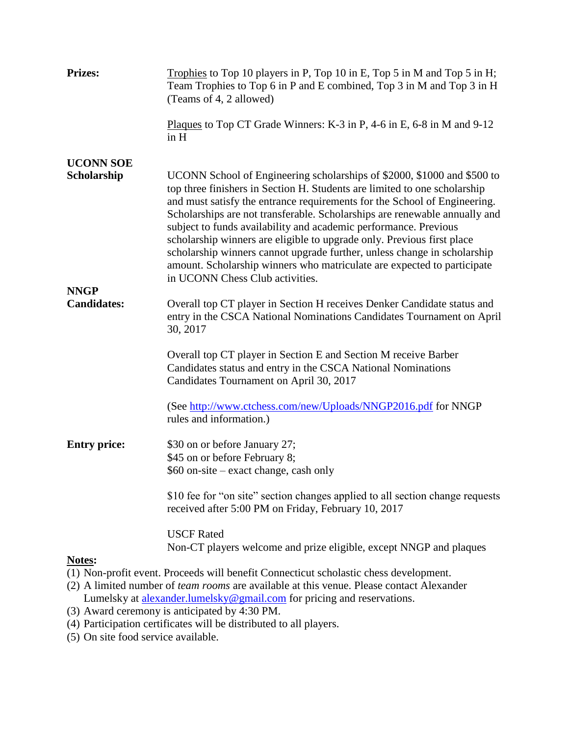| <b>Prizes:</b>                    | Trophies to Top 10 players in P, Top 10 in E, Top 5 in M and Top 5 in H;<br>Team Trophies to Top 6 in P and E combined, Top 3 in M and Top 3 in H<br>(Teams of 4, 2 allowed)                                                                                                                                                                                                                                                                                                                                                                                                                                                                            |
|-----------------------------------|---------------------------------------------------------------------------------------------------------------------------------------------------------------------------------------------------------------------------------------------------------------------------------------------------------------------------------------------------------------------------------------------------------------------------------------------------------------------------------------------------------------------------------------------------------------------------------------------------------------------------------------------------------|
|                                   | Plaques to Top CT Grade Winners: K-3 in P, 4-6 in E, 6-8 in M and 9-12<br>in H                                                                                                                                                                                                                                                                                                                                                                                                                                                                                                                                                                          |
| <b>UCONN SOE</b><br>Scholarship   | UCONN School of Engineering scholarships of \$2000, \$1000 and \$500 to<br>top three finishers in Section H. Students are limited to one scholarship<br>and must satisfy the entrance requirements for the School of Engineering.<br>Scholarships are not transferable. Scholarships are renewable annually and<br>subject to funds availability and academic performance. Previous<br>scholarship winners are eligible to upgrade only. Previous first place<br>scholarship winners cannot upgrade further, unless change in scholarship<br>amount. Scholarship winners who matriculate are expected to participate<br>in UCONN Chess Club activities. |
| <b>NNGP</b><br><b>Candidates:</b> | Overall top CT player in Section H receives Denker Candidate status and<br>entry in the CSCA National Nominations Candidates Tournament on April<br>30, 2017                                                                                                                                                                                                                                                                                                                                                                                                                                                                                            |
|                                   | Overall top CT player in Section E and Section M receive Barber<br>Candidates status and entry in the CSCA National Nominations<br>Candidates Tournament on April 30, 2017                                                                                                                                                                                                                                                                                                                                                                                                                                                                              |
|                                   | (See http://www.ctchess.com/new/Uploads/NNGP2016.pdf for NNGP<br>rules and information.)                                                                                                                                                                                                                                                                                                                                                                                                                                                                                                                                                                |
| <b>Entry price:</b>               | \$30 on or before January 27;<br>\$45 on or before February 8;<br>\$60 on-site – exact change, cash only                                                                                                                                                                                                                                                                                                                                                                                                                                                                                                                                                |
|                                   | \$10 fee for "on site" section changes applied to all section change requests<br>received after 5:00 PM on Friday, February 10, 2017                                                                                                                                                                                                                                                                                                                                                                                                                                                                                                                    |
| Notes:                            | <b>USCF Rated</b><br>Non-CT players welcome and prize eligible, except NNGP and plaques                                                                                                                                                                                                                                                                                                                                                                                                                                                                                                                                                                 |
|                                   | (1) Non-profit event. Proceeds will benefit Connecticut scholastic chess development.<br>$\mathbf{L}$ . The set of the set of the set of $\mathbf{L}$ and $\mathbf{L}$ is the set of $\mathbf{L}$ is a set of $\mathbf{L}$                                                                                                                                                                                                                                                                                                                                                                                                                              |

- (2) A limited number of *team rooms* are available at this venue. Please contact Alexander Lumelsky at **alexander.lumelsky@gmail.com** for pricing and reservations.
- (3) Award ceremony is anticipated by  $4:30$  PM.
- (4) Participation certificates will be distributed to all players.
- (5) On site food service available.